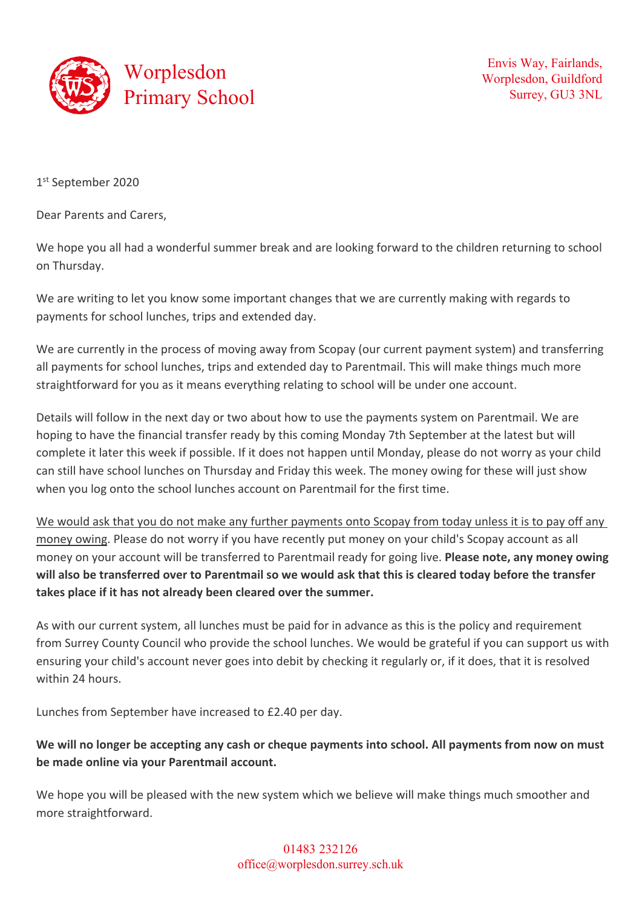

Envis Way, Fairlands, Worplesdon, Guildford Surrey, GU3 3NL

1st September 2020

Dear Parents and Carers,

We hope you all had a wonderful summer break and are looking forward to the children returning to school on Thursday.

We are writing to let you know some important changes that we are currently making with regards to payments for school lunches, trips and extended day.

We are currently in the process of moving away from Scopay (our current payment system) and transferring all payments for school lunches, trips and extended day to Parentmail. This will make things much more straightforward for you as it means everything relating to school will be under one account.

Details will follow in the next day or two about how to use the payments system on Parentmail. We are hoping to have the financial transfer ready by this coming Monday 7th September at the latest but will complete it later this week if possible. If it does not happen until Monday, please do not worry as your child can still have school lunches on Thursday and Friday this week. The money owing for these will just show when you log onto the school lunches account on Parentmail for the first time.

We would ask that you do not make any further payments onto Scopay from today unless it is to pay off any money owing. Please do not worry if you have recently put money on your child's Scopay account as all money on your account will be transferred to Parentmail ready for going live. **Please note, any money owing will also be transferred over to Parentmail so we would ask that this is cleared today before the transfer takes place if it has not already been cleared over the summer.**

As with our current system, all lunches must be paid for in advance as this is the policy and requirement from Surrey County Council who provide the school lunches. We would be grateful if you can support us with ensuring your child's account never goes into debit by checking it regularly or, if it does, that it is resolved within 24 hours.

Lunches from September have increased to £2.40 per day.

## **We will no longer be accepting any cash or cheque payments into school. All payments from now on must be made online via your Parentmail account.**

We hope you will be pleased with the new system which we believe will make things much smoother and more straightforward.

> 01483 232126 office@worplesdon.surrey.sch.uk